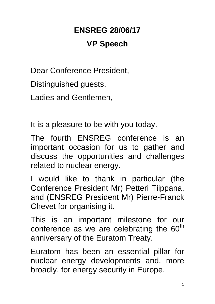# **ENSREG 28/06/17 VP Speech**

Dear Conference President,

Distinguished guests,

Ladies and Gentlemen,

It is a pleasure to be with you today.

The fourth ENSREG conference is an important occasion for us to gather and discuss the opportunities and challenges related to nuclear energy.

I would like to thank in particular (the Conference President Mr) Petteri Tiippana, and (ENSREG President Mr) Pierre-Franck Chevet for organising it.

This is an important milestone for our conference as we are celebrating the  $60<sup>th</sup>$ anniversary of the Euratom Treaty.

Euratom has been an essential pillar for nuclear energy developments and, more broadly, for energy security in Europe.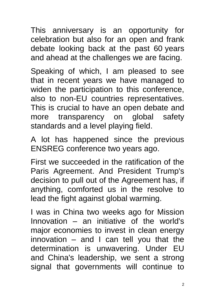This anniversary is an opportunity for celebration but also for an open and frank debate looking back at the past 60 years and ahead at the challenges we are facing.

Speaking of which, I am pleased to see that in recent years we have managed to widen the participation to this conference, also to non-EU countries representatives. This is crucial to have an open debate and more transparency on global safety standards and a level playing field.

A lot has happened since the previous ENSREG conference two years ago.

First we succeeded in the ratification of the Paris Agreement. And President Trump's decision to pull out of the Agreement has, if anything, comforted us in the resolve to lead the fight against global warming.

I was in China two weeks ago for Mission Innovation – an initiative of the world's major economies to invest in clean energy innovation  $-$  and I can tell you that the determination is unwavering. Under EU and China's leadership, we sent a strong signal that governments will continue to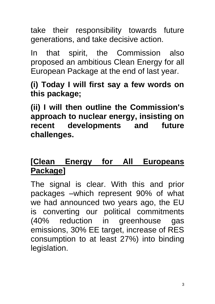take their responsibility towards future generations, and take decisive action.

In that spirit, the Commission also proposed an ambitious Clean Energy for all European Package at the end of last year.

#### **(i) Today I will first say a few words on this package;**

**(ii) I will then outline the Commission's approach to nuclear energy, insisting on recent developments and future challenges.** 

#### **[Clean Energy for All Europeans Package]**

The signal is clear. With this and prior packages –which represent 90% of what we had announced two years ago, the EU is converting our political commitments (40% reduction in greenhouse gas emissions, 30% EE target, increase of RES consumption to at least 27%) into binding legislation.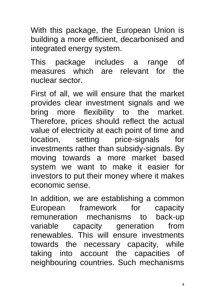With this package, the European Union is building a more efficient, decarbonised and integrated energy system.

This package includes a range of measures which are relevant for the nuclear sector.

First of all, we will ensure that the market provides clear investment signals and we bring more flexibility to the market. Therefore, prices should reflect the actual value of electricity at each point of time and location, setting price-signals for investments rather than subsidy-signals. By moving towards a more market based system we want to make it easier for investors to put their money where it makes economic sense.

In addition, we are establishing a common European framework for capacity remuneration mechanisms to back-up variable capacity generation from renewables. This will ensure investments towards the necessary capacity, while taking into account the capacities of neighbouring countries. Such mechanisms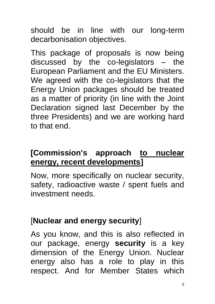should be in line with our long-term decarbonisation objectives.

This package of proposals is now being discussed by the co-legislators – the European Parliament and the EU Ministers. We agreed with the co-legislators that the Energy Union packages should be treated as a matter of priority (in line with the Joint Declaration signed last December by the three Presidents) and we are working hard to that end.

#### **[Commission's approach to nuclear energy, recent developments]**

Now, more specifically on nuclear security, safety, radioactive waste / spent fuels and investment needs.

#### [**Nuclear and energy security**]

As you know, and this is also reflected in our package, energy **security** is a key dimension of the Energy Union. Nuclear energy also has a role to play in this respect. And for Member States which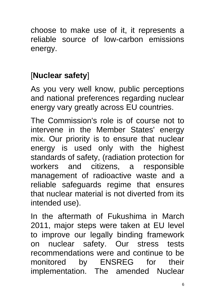choose to make use of it, it represents a reliable source of low-carbon emissions energy.

# [**Nuclear safety**]

As you very well know, public perceptions and national preferences regarding nuclear energy vary greatly across EU countries.

The Commission's role is of course not to intervene in the Member States' energy mix. Our priority is to ensure that nuclear energy is used only with the highest standards of safety, (radiation protection for workers and citizens, a responsible management of radioactive waste and a reliable safeguards regime that ensures that nuclear material is not diverted from its intended use).

In the aftermath of Fukushima in March 2011, major steps were taken at EU level to improve our legally binding framework on nuclear safety. Our stress tests recommendations were and continue to be monitored by ENSREG for their implementation. The amended Nuclear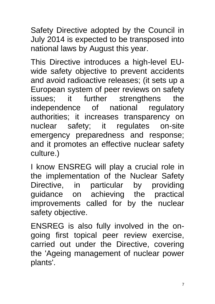Safety Directive adopted by the Council in July 2014 is expected to be transposed into national laws by August this year.

This Directive introduces a high-level EUwide safety objective to prevent accidents and avoid radioactive releases; (it sets up a European system of peer reviews on safety issues; it further strengthens the independence of national regulatory authorities; it increases transparency on nuclear safety; it regulates on-site emergency preparedness and response; and it promotes an effective nuclear safety culture.)

I know ENSREG will play a crucial role in the implementation of the Nuclear Safety Directive, in particular by providing guidance on achieving the practical improvements called for by the nuclear safety objective.

ENSREG is also fully involved in the ongoing first topical peer review exercise, carried out under the Directive, covering the 'Ageing management of nuclear power plants'.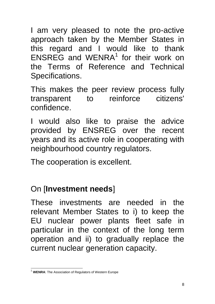I am very pleased to note the pro-active approach taken by the Member States in this regard and I would like to thank  $ENSREG$  and WENRA<sup>1</sup> for their work on the Terms of Reference and Technical Specifications.

This makes the peer review process fully transparent to reinforce citizens' confidence.

I would also like to praise the advice provided by ENSREG over the recent years and its active role in cooperating with neighbourhood country regulators.

The cooperation is excellent.

## On [**Investment needs**]

These investments are needed in the relevant Member States to i) to keep the EU nuclear power plants fleet safe in particular in the context of the long term operation and ii) to gradually replace the current nuclear generation capacity.

<sup>1</sup> <sup>1</sup> **WENRA**: The Association of Regulators of Western Europe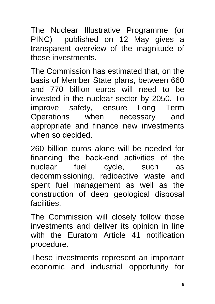The Nuclear Illustrative Programme (or PINC) published on 12 May gives a transparent overview of the magnitude of these investments.

The Commission has estimated that, on the basis of Member State plans, between 660 and 770 billion euros will need to be invested in the nuclear sector by 2050. To improve safety, ensure Long Term Operations when necessary and appropriate and finance new investments when so decided.

260 billion euros alone will be needed for financing the back-end activities of the nuclear fuel cycle, such as decommissioning, radioactive waste and spent fuel management as well as the construction of deep geological disposal facilities.

The Commission will closely follow those investments and deliver its opinion in line with the Euratom Article 41 notification procedure.

These investments represent an important economic and industrial opportunity for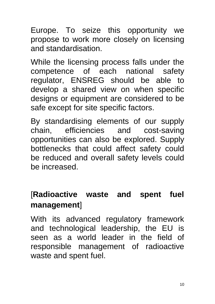Europe. To seize this opportunity we propose to work more closely on licensing and standardisation.

While the licensing process falls under the competence of each national safety regulator, ENSREG should be able to develop a shared view on when specific designs or equipment are considered to be safe except for site specific factors.

By standardising elements of our supply chain, efficiencies and cost-saving opportunities can also be explored. Supply bottlenecks that could affect safety could be reduced and overall safety levels could be increased.

### [**Radioactive waste and spent fuel management**]

With its advanced regulatory framework and technological leadership, the EU is seen as a world leader in the field of responsible management of radioactive waste and spent fuel.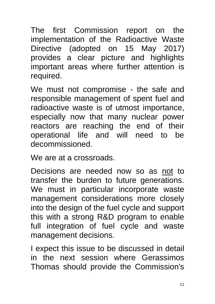The first Commission report on the implementation of the Radioactive Waste Directive (adopted on 15 May 2017) provides a clear picture and highlights important areas where further attention is required.

We must not compromise - the safe and responsible management of spent fuel and radioactive waste is of utmost importance, especially now that many nuclear power reactors are reaching the end of their operational life and will need to be decommissioned.

We are at a crossroads.

Decisions are needed now so as not to transfer the burden to future generations. We must in particular incorporate waste management considerations more closely into the design of the fuel cycle and support this with a strong R&D program to enable full integration of fuel cycle and waste management decisions.

I expect this issue to be discussed in detail in the next session where Gerassimos Thomas should provide the Commission's